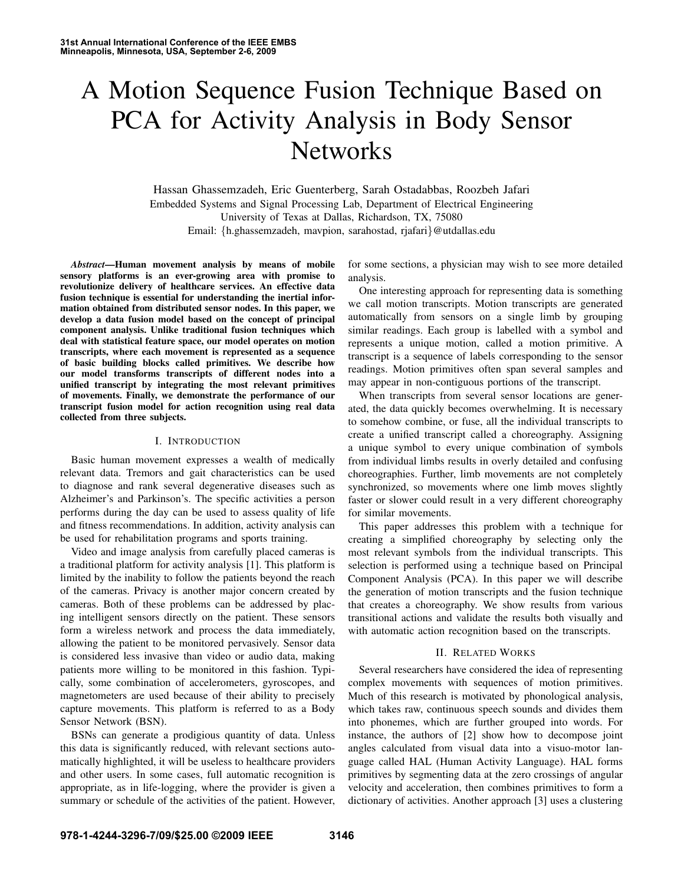# A Motion Sequence Fusion Technique Based on PCA for Activity Analysis in Body Sensor **Networks**

Hassan Ghassemzadeh, Eric Guenterberg, Sarah Ostadabbas, Roozbeh Jafari Embedded Systems and Signal Processing Lab, Department of Electrical Engineering University of Texas at Dallas, Richardson, TX, 75080 Email: *{*h.ghassemzadeh, mavpion, sarahostad, rjafari*}*@utdallas.edu

*Abstract***—Human movement analysis by means of mobile sensory platforms is an ever-growing area with promise to revolutionize delivery of healthcare services. An effective data fusion technique is essential for understanding the inertial information obtained from distributed sensor nodes. In this paper, we develop a data fusion model based on the concept of principal component analysis. Unlike traditional fusion techniques which deal with statistical feature space, our model operates on motion transcripts, where each movement is represented as a sequence of basic building blocks called primitives. We describe how our model transforms transcripts of different nodes into a unified transcript by integrating the most relevant primitives of movements. Finally, we demonstrate the performance of our transcript fusion model for action recognition using real data collected from three subjects.**

## I. INTRODUCTION

Basic human movement expresses a wealth of medically relevant data. Tremors and gait characteristics can be used to diagnose and rank several degenerative diseases such as Alzheimer's and Parkinson's. The specific activities a person performs during the day can be used to assess quality of life and fitness recommendations. In addition, activity analysis can be used for rehabilitation programs and sports training.

Video and image analysis from carefully placed cameras is a traditional platform for activity analysis [1]. This platform is limited by the inability to follow the patients beyond the reach of the cameras. Privacy is another major concern created by cameras. Both of these problems can be addressed by placing intelligent sensors directly on the patient. These sensors form a wireless network and process the data immediately, allowing the patient to be monitored pervasively. Sensor data is considered less invasive than video or audio data, making patients more willing to be monitored in this fashion. Typically, some combination of accelerometers, gyroscopes, and magnetometers are used because of their ability to precisely capture movements. This platform is referred to as a Body Sensor Network (BSN).

BSNs can generate a prodigious quantity of data. Unless this data is significantly reduced, with relevant sections automatically highlighted, it will be useless to healthcare providers and other users. In some cases, full automatic recognition is appropriate, as in life-logging, where the provider is given a summary or schedule of the activities of the patient. However, for some sections, a physician may wish to see more detailed analysis.

One interesting approach for representing data is something we call motion transcripts. Motion transcripts are generated automatically from sensors on a single limb by grouping similar readings. Each group is labelled with a symbol and represents a unique motion, called a motion primitive. A transcript is a sequence of labels corresponding to the sensor readings. Motion primitives often span several samples and may appear in non-contiguous portions of the transcript.

When transcripts from several sensor locations are generated, the data quickly becomes overwhelming. It is necessary to somehow combine, or fuse, all the individual transcripts to create a unified transcript called a choreography. Assigning a unique symbol to every unique combination of symbols from individual limbs results in overly detailed and confusing choreographies. Further, limb movements are not completely synchronized, so movements where one limb moves slightly faster or slower could result in a very different choreography for similar movements.

This paper addresses this problem with a technique for creating a simplified choreography by selecting only the most relevant symbols from the individual transcripts. This selection is performed using a technique based on Principal Component Analysis (PCA). In this paper we will describe the generation of motion transcripts and the fusion technique that creates a choreography. We show results from various transitional actions and validate the results both visually and with automatic action recognition based on the transcripts.

# II. RELATED WORKS

Several researchers have considered the idea of representing complex movements with sequences of motion primitives. Much of this research is motivated by phonological analysis, which takes raw, continuous speech sounds and divides them into phonemes, which are further grouped into words. For instance, the authors of [2] show how to decompose joint angles calculated from visual data into a visuo-motor language called HAL (Human Activity Language). HAL forms primitives by segmenting data at the zero crossings of angular velocity and acceleration, then combines primitives to form a dictionary of activities. Another approach [3] uses a clustering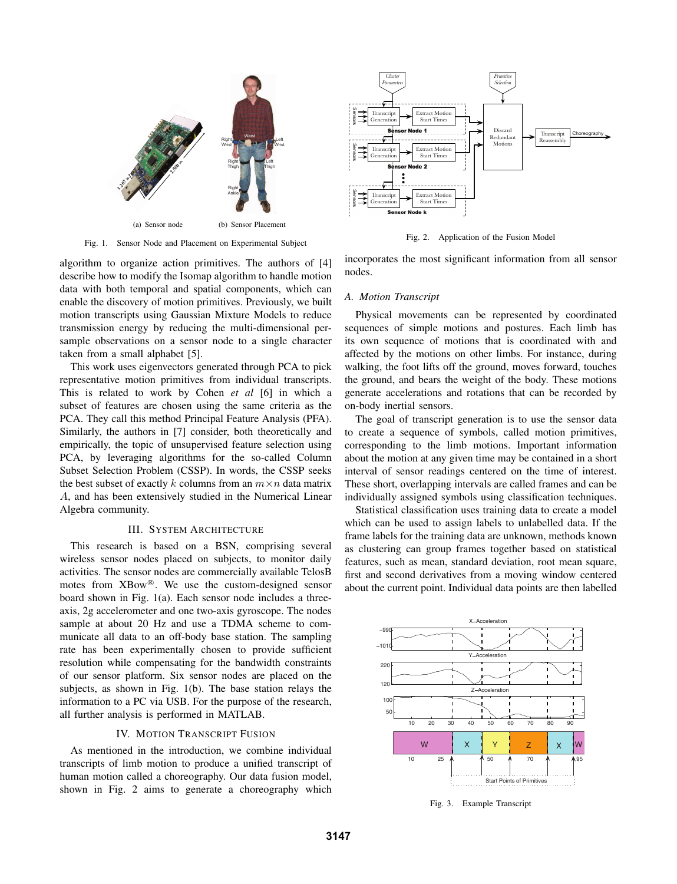

Fig. 1. Sensor Node and Placement on Experimental Subject



Fig. 2. Application of the Fusion Model

algorithm to organize action primitives. The authors of [4] describe how to modify the Isomap algorithm to handle motion data with both temporal and spatial components, which can enable the discovery of motion primitives. Previously, we built motion transcripts using Gaussian Mixture Models to reduce transmission energy by reducing the multi-dimensional persample observations on a sensor node to a single character taken from a small alphabet [5].

This work uses eigenvectors generated through PCA to pick representative motion primitives from individual transcripts. This is related to work by Cohen *et al* [6] in which a subset of features are chosen using the same criteria as the PCA. They call this method Principal Feature Analysis (PFA). Similarly, the authors in [7] consider, both theoretically and empirically, the topic of unsupervised feature selection using PCA, by leveraging algorithms for the so-called Column Subset Selection Problem (CSSP). In words, the CSSP seeks the best subset of exactly *k* columns from an  $m \times n$  data matrix *A*, and has been extensively studied in the Numerical Linear Algebra community.

# III. SYSTEM ARCHITECTURE

This research is based on a BSN, comprising several wireless sensor nodes placed on subjects, to monitor daily activities. The sensor nodes are commercially available TelosB motes from XBow<sup>®</sup>. We use the custom-designed sensor board shown in Fig. 1(a). Each sensor node includes a threeaxis, 2g accelerometer and one two-axis gyroscope. The nodes sample at about 20 Hz and use a TDMA scheme to communicate all data to an off-body base station. The sampling rate has been experimentally chosen to provide sufficient resolution while compensating for the bandwidth constraints of our sensor platform. Six sensor nodes are placed on the subjects, as shown in Fig. 1(b). The base station relays the information to a PC via USB. For the purpose of the research, all further analysis is performed in MATLAB.

#### IV. MOTION TRANSCRIPT FUSION

As mentioned in the introduction, we combine individual transcripts of limb motion to produce a unified transcript of human motion called a choreography. Our data fusion model, shown in Fig. 2 aims to generate a choreography which incorporates the most significant information from all sensor nodes.

#### *A. Motion Transcript*

Physical movements can be represented by coordinated sequences of simple motions and postures. Each limb has its own sequence of motions that is coordinated with and affected by the motions on other limbs. For instance, during walking, the foot lifts off the ground, moves forward, touches the ground, and bears the weight of the body. These motions generate accelerations and rotations that can be recorded by on-body inertial sensors.

The goal of transcript generation is to use the sensor data to create a sequence of symbols, called motion primitives, corresponding to the limb motions. Important information about the motion at any given time may be contained in a short interval of sensor readings centered on the time of interest. These short, overlapping intervals are called frames and can be individually assigned symbols using classification techniques.

Statistical classification uses training data to create a model which can be used to assign labels to unlabelled data. If the frame labels for the training data are unknown, methods known as clustering can group frames together based on statistical features, such as mean, standard deviation, root mean square, first and second derivatives from a moving window centered about the current point. Individual data points are then labelled



Fig. 3. Example Transcript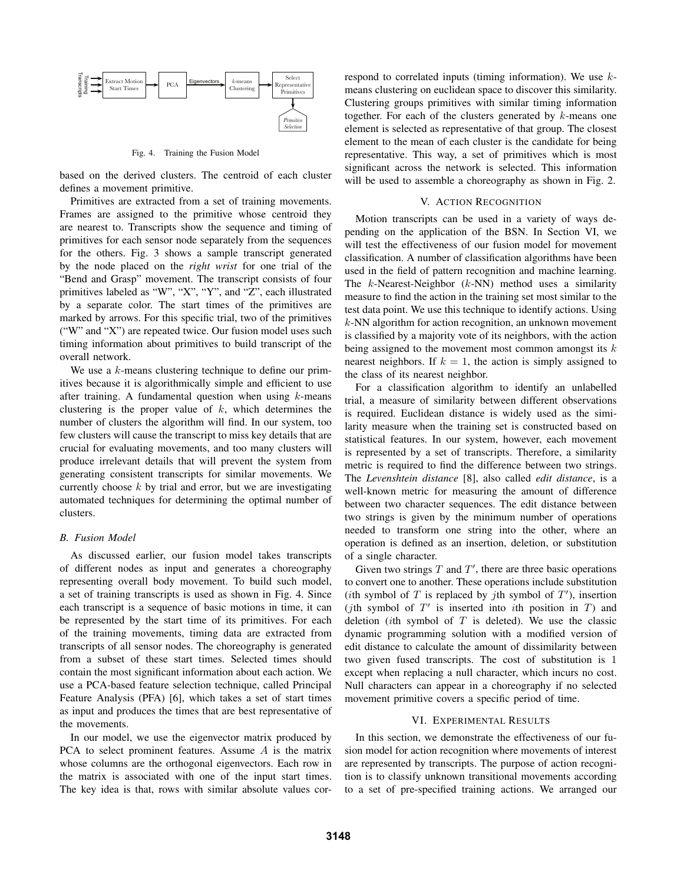

Fig. 4. Training the Fusion Model

based on the derived clusters. The centroid of each cluster defines a movement primitive.

Primitives are extracted from a set of training movements. Frames are assigned to the primitive whose centroid they are nearest to. Transcripts show the sequence and timing of primitives for each sensor node separately from the sequences for the others. Fig. 3 shows a sample transcript generated by the node placed on the *right wrist* for one trial of the "Bend and Grasp" movement. The transcript consists of four primitives labeled as "W", "X", "Y", and "Z", each illustrated by a separate color. The start times of the primitives are marked by arrows. For this specific trial, two of the primitives ("W" and "X") are repeated twice. Our fusion model uses such timing information about primitives to build transcript of the overall network.

We use a *k*-means clustering technique to define our primitives because it is algorithmically simple and efficient to use after training. A fundamental question when using *k*-means clustering is the proper value of *k*, which determines the number of clusters the algorithm will find. In our system, too few clusters will cause the transcript to miss key details that are crucial for evaluating movements, and too many clusters will produce irrelevant details that will prevent the system from generating consistent transcripts for similar movements. We currently choose *k* by trial and error, but we are investigating automated techniques for determining the optimal number of clusters.

# *B. Fusion Model*

As discussed earlier, our fusion model takes transcripts of different nodes as input and generates a choreography representing overall body movement. To build such model, a set of training transcripts is used as shown in Fig. 4. Since each transcript is a sequence of basic motions in time, it can be represented by the start time of its primitives. For each of the training movements, timing data are extracted from transcripts of all sensor nodes. The choreography is generated from a subset of these start times. Selected times should contain the most significant information about each action. We use a PCA-based feature selection technique, called Principal Feature Analysis (PFA) [6], which takes a set of start times as input and produces the times that are best representative of the movements.

In our model, we use the eigenvector matrix produced by PCA to select prominent features. Assume *A* is the matrix whose columns are the orthogonal eigenvectors. Each row in the matrix is associated with one of the input start times. The key idea is that, rows with similar absolute values correspond to correlated inputs (timing information). We use *k*means clustering on euclidean space to discover this similarity. Clustering groups primitives with similar timing information together. For each of the clusters generated by *k*-means one element is selected as representative of that group. The closest element to the mean of each cluster is the candidate for being representative. This way, a set of primitives which is most significant across the network is selected. This information will be used to assemble a choreography as shown in Fig. 2.

## V. ACTION RECOGNITION

Motion transcripts can be used in a variety of ways depending on the application of the BSN. In Section VI, we will test the effectiveness of our fusion model for movement classification. A number of classification algorithms have been used in the field of pattern recognition and machine learning. The *k*-Nearest-Neighbor (*k*-NN) method uses a similarity measure to find the action in the training set most similar to the test data point. We use this technique to identify actions. Using *k*-NN algorithm for action recognition, an unknown movement is classified by a majority vote of its neighbors, with the action being assigned to the movement most common amongst its *k* nearest neighbors. If  $k = 1$ , the action is simply assigned to the class of its nearest neighbor.

For a classification algorithm to identify an unlabelled trial, a measure of similarity between different observations is required. Euclidean distance is widely used as the similarity measure when the training set is constructed based on statistical features. In our system, however, each movement is represented by a set of transcripts. Therefore, a similarity metric is required to find the difference between two strings. The *Levenshtein distance* [8], also called *edit distance*, is a well-known metric for measuring the amount of difference between two character sequences. The edit distance between two strings is given by the minimum number of operations needed to transform one string into the other, where an operation is defined as an insertion, deletion, or substitution of a single character.

Given two strings  $T$  and  $T'$ , there are three basic operations to convert one to another. These operations include substitution (*i*th symbol of *T* is replaced by *j*th symbol of  $T'$ ), insertion (*j*th symbol of  $T'$  is inserted into *i*th position in  $T$ ) and deletion (*i*th symbol of *T* is deleted). We use the classic dynamic programming solution with a modified version of edit distance to calculate the amount of dissimilarity between two given fused transcripts. The cost of substitution is 1 except when replacing a null character, which incurs no cost. Null characters can appear in a choreography if no selected movement primitive covers a specific period of time.

## VI. EXPERIMENTAL RESULTS

In this section, we demonstrate the effectiveness of our fusion model for action recognition where movements of interest are represented by transcripts. The purpose of action recognition is to classify unknown transitional movements according to a set of pre-specified training actions. We arranged our